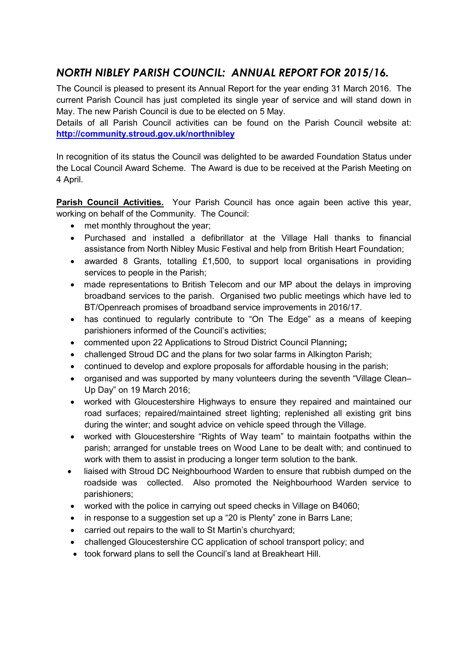## *NORTH NIBLEY PARISH COUNCIL: ANNUAL REPORT FOR 2015/16.*

The Council is pleased to present its Annual Report for the year ending 31 March 2016. The current Parish Council has just completed its single year of service and will stand down in May. The new Parish Council is due to be elected on 5 May.

Details of all Parish Council activities can be found on the Parish Council website at: **http://community.stroud.gov.uk/northnibley**

In recognition of its status the Council was delighted to be awarded Foundation Status under the Local Council Award Scheme. The Award is due to be received at the Parish Meeting on 4 April.

**Parish Council Activities.** Your Parish Council has once again been active this year, working on behalf of the Community. The Council:

- met monthly throughout the year;
- Purchased and installed a defibrillator at the Village Hall thanks to financial assistance from North Nibley Music Festival and help from British Heart Foundation;
- awarded 8 Grants, totalling £1,500, to support local organisations in providing services to people in the Parish;
- made representations to British Telecom and our MP about the delays in improving broadband services to the parish. Organised two public meetings which have led to BT/Openreach promises of broadband service improvements in 2016/17.
- has continued to regularly contribute to "On The Edge" as a means of keeping parishioners informed of the Council's activities;
- commented upon 22 Applications to Stroud District Council Planning**;**
- challenged Stroud DC and the plans for two solar farms in Alkington Parish;
- continued to develop and explore proposals for affordable housing in the parish;
- organised and was supported by many volunteers during the seventh "Village Clean– Up Day" on 19 March 2016;
- worked with Gloucestershire Highways to ensure they repaired and maintained our road surfaces; repaired/maintained street lighting; replenished all existing grit bins during the winter; and sought advice on vehicle speed through the Village.
- worked with Gloucestershire "Rights of Way team" to maintain footpaths within the parish; arranged for unstable trees on Wood Lane to be dealt with; and continued to work with them to assist in producing a longer term solution to the bank.
- liaised with Stroud DC Neighbourhood Warden to ensure that rubbish dumped on the roadside was collected. Also promoted the Neighbourhood Warden service to parishioners;
- worked with the police in carrying out speed checks in Village on B4060;
- in response to a suggestion set up a "20 is Plenty" zone in Barrs Lane;
- carried out repairs to the wall to St Martin's churchyard;
- challenged Gloucestershire CC application of school transport policy; and
- took forward plans to sell the Council's land at Breakheart Hill.